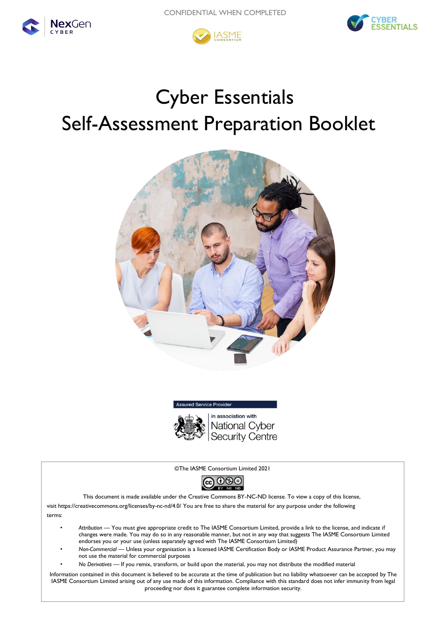





# Cyber Essentials Self-Assessment Preparation Booklet





©The IASME Consortium Limited 2021



This document is made available under the Creative Commons BY-NC-ND license. To view a copy of this license,

visit https://creativecommons.org/licenses/by-nc-nd/4.0/ You are free to share the material for any purpose under the following terms:

- *Attribution*  You must give appropriate credit to The IASME Consortium Limited, provide a link to the license, and indicate if changes were made. You may do so in any reasonable manner, but not in any way that suggests The IASME Consortium Limited endorses you or your use (unless separately agreed with The IASME Consortium Limited)
- *Non-Commercial*  Unless your organisation is a licensed IASME Certification Body or IASME Product Assurance Partner, you may not use the material for commercial purposes
- *No Derivatives* If you remix, transform, or build upon the material, you may not distribute the modified material

Information contained in this document is believed to be accurate at the time of publication but no liability whatsoever can be accepted by The IASME Consortium Limited arising out of any use made of this information. Compliance with this standard does not infer immunity from legal proceeding nor does it guarantee complete information security.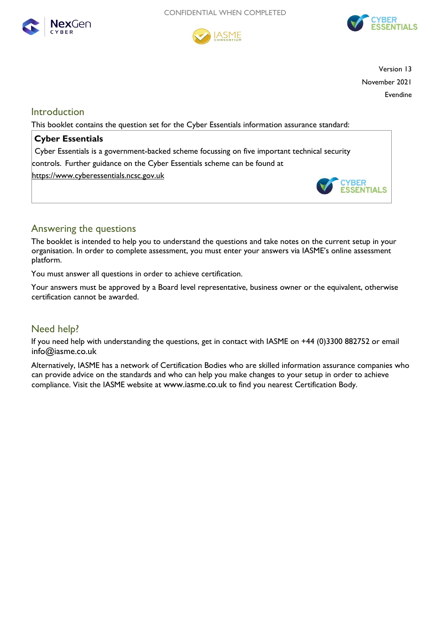





Version 13 November 2021 Evendine

### Introduction

This booklet contains the question set for the Cyber Essentials information assurance standard:

### **Cyber Essentials**

Cyber Essentials is a government-backed scheme focussing on five important technical security controls. Further guidance on the Cyber Essentials scheme can be found at https://www.cyberessentials.ncsc.gov.uk



### Answering the questions

The booklet is intended to help you to understand the questions and take notes on the current setup in your organisation. In order to complete assessment, you must enter your answers via IASME's online assessment platform.

You must answer all questions in order to achieve certification.

Your answers must be approved by a Board level representative, business owner or the equivalent, otherwise certification cannot be awarded.

### Need help?

If you need help with understanding the questions, get in contact with IASME on +44 (0)3300 882752 or email info@iasme.co.uk

Alternatively, IASME has a network of Certification Bodies who are skilled information assurance companies who can provide advice on the standards and who can help you make changes to your setup in order to achieve compliance. Visit the IASME website at www.iasme.co.uk to find you nearest Certification Body.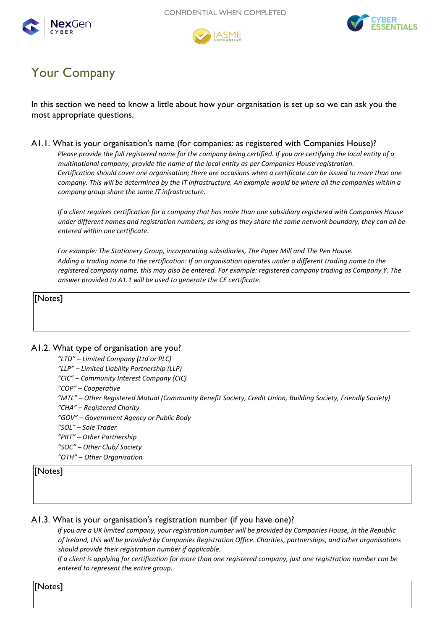

**IASME** 



# Your Company

In this section we need to know a little about how your organisation is set up so we can ask you the most appropriate questions.

A1.1. What is your organisation's name (for companies: as registered with Companies House)? *Please provide the full registered name for the company being certified. If you are certifying the local entity of a multinational company, provide the name of the local entity as per Companies House registration. Certification should cover one organisation; there are occasions when a certificate can be issued to more than one company. This will be determined by the IT infrastructure. An example would be where all the companies within a company group share the same IT infrastructure.* 

*If a client requires certification for a company that has more than one subsidiary registered with Companies House under different names and registration numbers, as long as they share the same network boundary, they can all be entered within one certificate.* 

*For example: The Stationery Group, incorporating subsidiaries, The Paper Mill and The Pen House. Adding a trading name to the certification: If an organisation operates under a different trading name to the registered company name, this may also be entered. For example: registered company trading as Company Y. The answer provided to A1.1 will be used to generate the CE certificate.* 

[Notes]

#### A1.2. What type of organisation are you?

*"LTD" – Limited Company (Ltd or PLC) "LLP" – Limited Liability Partnership (LLP) "CIC" – Community Interest Company (CIC) "COP" – Cooperative "MTL" – Other Registered Mutual (Community Benefit Society, Credit Union, Building Society, Friendly Society) "CHA" – Registered Charity "GOV" – Government Agency or Public Body "SOL" – Sole Trader "PRT" – Other Partnership "SOC" – Other Club/ Society "OTH" – Other Organisation* 

[Notes]

### A1.3. What is your organisation's registration number (if you have one)?

*If you are a UK limited company, your registration number will be provided by Companies House, in the Republic of Ireland, this will be provided by Companies Registration Office. Charities, partnerships, and other organisations should provide their registration number if applicable.* 

*If a client is applying for certification for more than one registered company, just one registration number can be entered to represent the entire group.*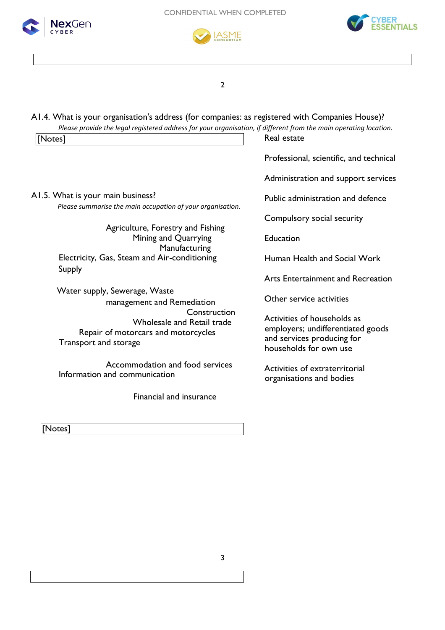





2

#### A1.4. What is your organisation's address (for companies: as registered with Companies House)? *Please provide the legal registered address for your organisation, if different from the main operating location.*

| [Notes]                                                                                                           | Real estate                                                                                                              |
|-------------------------------------------------------------------------------------------------------------------|--------------------------------------------------------------------------------------------------------------------------|
|                                                                                                                   | Professional, scientific, and technical                                                                                  |
|                                                                                                                   | Administration and support services                                                                                      |
| A1.5. What is your main business?<br>Please summarise the main occupation of your organisation.                   | Public administration and defence                                                                                        |
|                                                                                                                   | Compulsory social security                                                                                               |
| Agriculture, Forestry and Fishing<br>Mining and Quarrying<br>Manufacturing                                        | Education                                                                                                                |
| Electricity, Gas, Steam and Air-conditioning                                                                      | Human Health and Social Work                                                                                             |
| Supply                                                                                                            | Arts Entertainment and Recreation                                                                                        |
| Water supply, Sewerage, Waste<br>management and Remediation                                                       | Other service activities                                                                                                 |
| Construction<br><b>Wholesale and Retail trade</b><br>Repair of motorcars and motorcycles<br>Transport and storage | Activities of households as<br>employers; undifferentiated goods<br>and services producing for<br>households for own use |
| Accommodation and food services<br>Information and communication                                                  | Activities of extraterritorial<br>organisations and bodies                                                               |
| Financial and insurance                                                                                           |                                                                                                                          |
|                                                                                                                   |                                                                                                                          |

[Notes]

3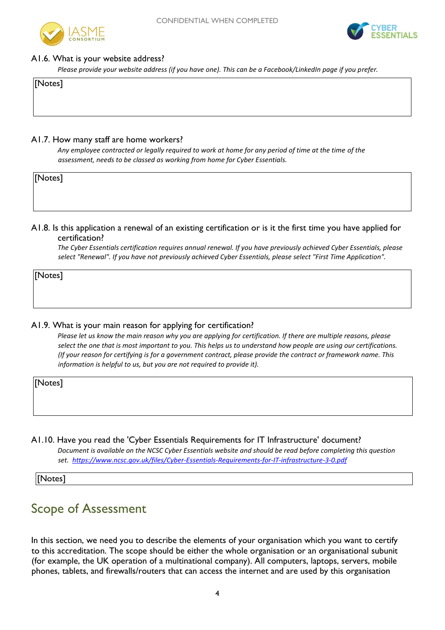



### A1.6. What is your website address?

*Please provide your website address (if you have one). This can be a Facebook/LinkedIn page if you prefer.* 

| Note |
|------|
|      |

### A1.7. How many staff are home workers?

*Any employee contracted or legally required to work at home for any period of time at the time of the assessment, needs to be classed as working from home for Cyber Essentials.* 

[Notes]

A1.8. Is this application a renewal of an existing certification or is it the first time you have applied for certification?

*The Cyber Essentials certification requires annual renewal. If you have previously achieved Cyber Essentials, please select "Renewal". If you have not previously achieved Cyber Essentials, please select "First Time Application".* 

[Notes]

### A1.9. What is your main reason for applying for certification?

*Please let us know the main reason why you are applying for certification. If there are multiple reasons, please select the one that is most important to you. This helps us to understand how people are using our certifications. (If your reason for certifying is for a government contract, please provide the contract or framework name. This information is helpful to us, but you are not required to provide it).* 

[Notes]

A1.10. Have you read the 'Cyber Essentials Requirements for IT Infrastructure' document?

*Document is available on the NCSC Cyber Essentials website and should be read before completing this question set. https://www.ncsc.gov.uk/files/Cyber-Essentials-Requirements-for-IT-infrastructure-3-0.pdf*

[Notes]

# Scope of Assessment

In this section, we need you to describe the elements of your organisation which you want to certify to this accreditation. The scope should be either the whole organisation or an organisational subunit (for example, the UK operation of a multinational company). All computers, laptops, servers, mobile phones, tablets, and firewalls/routers that can access the internet and are used by this organisation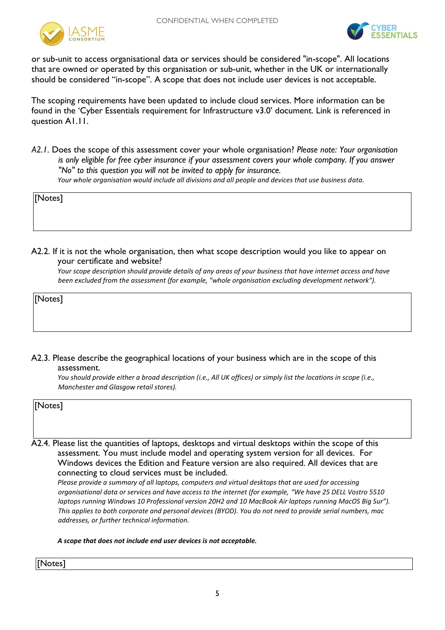



or sub-unit to access organisational data or services should be considered "in-scope". All locations that are owned or operated by this organisation or sub-unit, whether in the UK or internationally should be considered "in-scope". A scope that does not include user devices is not acceptable.

The scoping requirements have been updated to include cloud services. More information can be found in the 'Cyber Essentials requirement for Infrastructure v3.0' document. Link is referenced in question A1.11.

*A2.1.* Does the scope of this assessment cover your whole organisation? *Please note: Your organisation is only eligible for free cyber insurance if your assessment covers your whole company. If you answer "No" to this question you will not be invited to apply for insurance.* 

*Your whole organisation would include all divisions and all people and devices that use business data.* 

[Notes]

A2.2. If it is not the whole organisation, then what scope description would you like to appear on your certificate and website?

*Your scope description should provide details of any areas of your business that have internet access and have been excluded from the assessment (for example, "whole organisation excluding development network").* 

[Notes]

A2.3. Please describe the geographical locations of your business which are in the scope of this assessment.

*You should provide either a broad description (i.e., All UK offices) or simply list the locations in scope (i.e., Manchester and Glasgow retail stores).*

[Notes]

A2.4. Please list the quantities of laptops, desktops and virtual desktops within the scope of this assessment. You must include model and operating system version for all devices. For Windows devices the Edition and Feature version are also required. All devices that are connecting to cloud services must be included.

*Please provide a summary of all laptops, computers and virtual desktops that are used for accessing organisational data or services and have access to the internet (for example, "We have 25 DELL Vostro 5510 laptops running Windows 10 Professional version 20H2 and 10 MacBook Air laptops running MacOS Big Sur"). This applies to both corporate and personal devices (BYOD). You do not need to provide serial numbers, mac addresses, or further technical information.* 

#### *A scope that does not include end user devices is not acceptable.*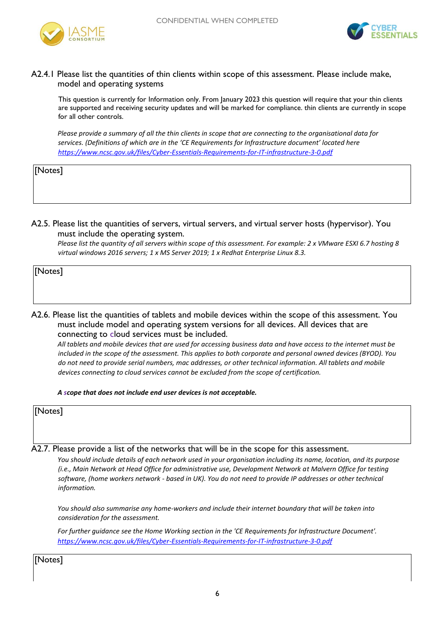



### A2.4.1 Please list the quantities of thin clients within scope of this assessment. Please include make, model and operating systems

This question is currently for Information only. From January 2023 this question will require that your thin clients are supported and receiving security updates and will be marked for compliance. thin clients are currently in scope for all other controls.

*Please provide a summary of all the thin clients in scope that are connecting to the organisational data for services. (Definitions of which are in the 'CE Requirements for Infrastructure document' located here https://www.ncsc.gov.uk/files/Cyber-Essentials-Requirements-for-IT-infrastructure-3-0.pdf*

[Notes]

A2.5. Please list the quantities of servers, virtual servers, and virtual server hosts (hypervisor). You must include the operating system.

*Please list the quantity of all servers within scope of this assessment. For example: 2 x VMware ESXI 6.7 hosting 8 virtual windows 2016 servers; 1 x MS Server 2019; 1 x Redhat Enterprise Linux 8.3.* 

[Notes]

A2.6. Please list the quantities of tablets and mobile devices within the scope of this assessment. You must include model and operating system versions for all devices. All devices that are connecting to cloud services must be included.

*All tablets and mobile devices that are used for accessing business data and have access to the internet must be included in the scope of the assessment. This applies to both corporate and personal owned devices (BYOD). You do not need to provide serial numbers, mac addresses, or other technical information. All tablets and mobile devices connecting to cloud services cannot be excluded from the scope of certification.* 

*A scope that does not include end user devices is not acceptable.* 

#### [Notes]

A2.7. Please provide a list of the networks that will be in the scope for this assessment.

*You should include details of each network used in your organisation including its name, location, and its purpose (i.e., Main Network at Head Office for administrative use, Development Network at Malvern Office for testing software, (home workers network - based in UK). You do not need to provide IP addresses or other technical information.* 

*You should also summarise any home-workers and include their internet boundary that will be taken into consideration for the assessment.* 

*For further guidance see the Home Working section in the 'CE Requirements for Infrastructure Document'. https://www.ncsc.gov.uk/files/Cyber-Essentials-Requirements-for-IT-infrastructure-3-0.pdf*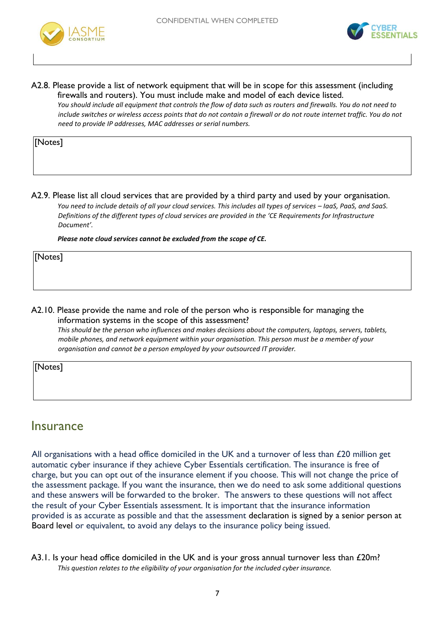

A2.8. Please provide a list of network equipment that will be in scope for this assessment (including firewalls and routers). You must include make and model of each device listed. *You should include all equipment that controls the flow of data such as routers and firewalls. You do not need to include switches or wireless access points that do not contain a firewall or do not route internet traffic. You do not need to provide IP addresses, MAC addresses or serial numbers.* 

[Notes]

A2.9. Please list all cloud services that are provided by a third party and used by your organisation. *You need to include details of all your cloud services. This includes all types of services - IaaS, PaaS, and SaaS. Definitions of the different types of cloud services are provided in the 'CE Requirements for Infrastructure Document'.* 

*Please note cloud services cannot be excluded from the scope of CE.* 

[Notes]

A2.10. Please provide the name and role of the person who is responsible for managing the information systems in the scope of this assessment? *This should be the person who influences and makes decisions about the computers, laptops, servers, tablets, mobile phones, and network equipment within your organisation. This person must be a member of your organisation and cannot be a person employed by your outsourced IT provider.* 

[Notes]

### **Insurance**

All organisations with a head office domiciled in the UK and a turnover of less than £20 million get automatic cyber insurance if they achieve Cyber Essentials certification. The insurance is free of charge, but you can opt out of the insurance element if you choose. This will not change the price of the assessment package. If you want the insurance, then we do need to ask some additional questions and these answers will be forwarded to the broker. The answers to these questions will not affect the result of your Cyber Essentials assessment. It is important that the insurance information provided is as accurate as possible and that the assessment declaration is signed by a senior person at Board level or equivalent, to avoid any delays to the insurance policy being issued.

A3.1. Is your head office domiciled in the UK and is your gross annual turnover less than £20m? *This question relates to the eligibility of your organisation for the included cyber insurance.*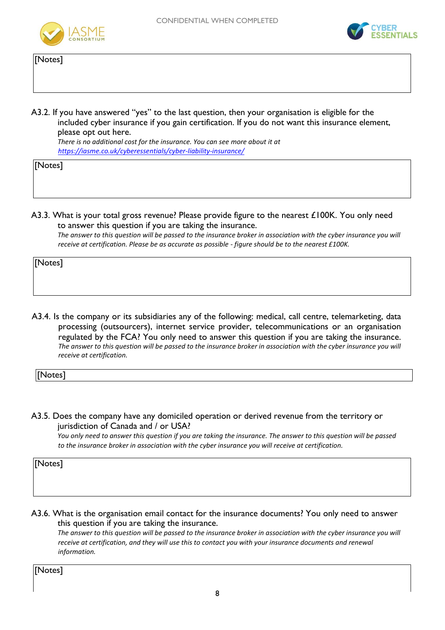



A3.2. If you have answered "yes" to the last question, then your organisation is eligible for the included cyber insurance if you gain certification. If you do not want this insurance element, please opt out here.

*There is no additional cost for the insurance. You can see more about it at https://iasme.co.uk/cyberessentials/cyber-liability-insurance/*

[Notes]

[Notes]

A3.3. What is your total gross revenue? Please provide figure to the nearest £100K. You only need to answer this question if you are taking the insurance. *The answer to this question will be passed to the insurance broker in association with the cyber insurance you will* 

*receive at certification. Please be as accurate as possible - figure should be to the nearest £100K.* 

[Notes]

A3.4. Is the company or its subsidiaries any of the following: medical, call centre, telemarketing, data processing (outsourcers), internet service provider, telecommunications or an organisation regulated by the FCA? You only need to answer this question if you are taking the insurance. The answer to this question will be passed to the insurance broker in association with the cyber insurance you will *receive at certification.*

|--|

A3.5. Does the company have any domiciled operation or derived revenue from the territory or jurisdiction of Canada and / or USA?

*You only need to answer this question if you are taking the insurance. The answer to this question will be passed to the insurance broker in association with the cyber insurance you will receive at certification.* 

[Notes]

A3.6. What is the organisation email contact for the insurance documents? You only need to answer this question if you are taking the insurance.

The answer to this question will be passed to the insurance broker in association with the cyber insurance you will *receive at certification, and they will use this to contact you with your insurance documents and renewal information.*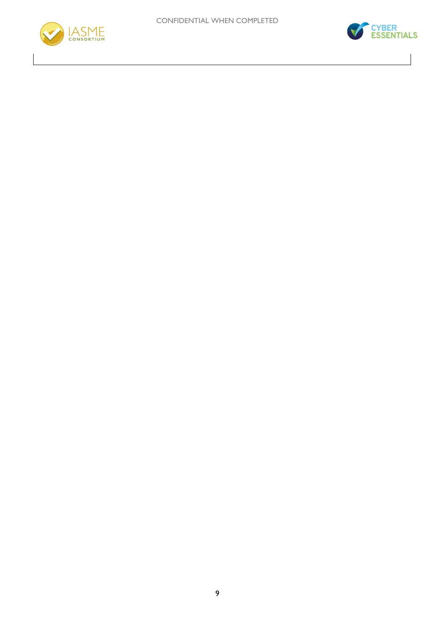

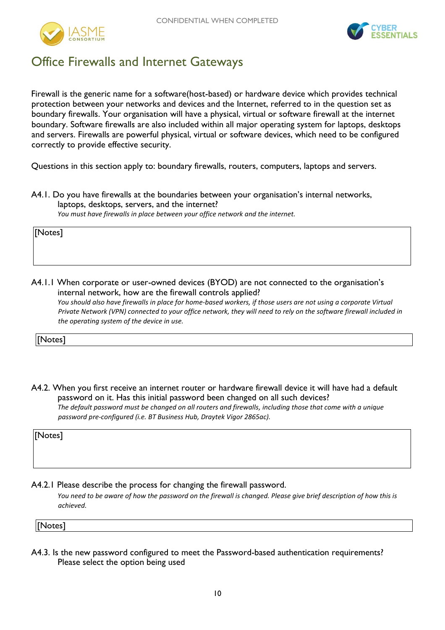



# Office Firewalls and Internet Gateways

Firewall is the generic name for a software(host-based) or hardware device which provides technical protection between your networks and devices and the Internet, referred to in the question set as boundary firewalls. Your organisation will have a physical, virtual or software firewall at the internet boundary. Software firewalls are also included within all major operating system for laptops, desktops and servers. Firewalls are powerful physical, virtual or software devices, which need to be configured correctly to provide effective security.

Questions in this section apply to: boundary firewalls, routers, computers, laptops and servers.

A4.1. Do you have firewalls at the boundaries between your organisation's internal networks, laptops, desktops, servers, and the internet? *You must have firewalls in place between your office network and the internet.* 

[Notes]

A4.1.1 When corporate or user-owned devices (BYOD) are not connected to the organisation's internal network, how are the firewall controls applied? *You should also have firewalls in place for home-based workers, if those users are not using a corporate Virtual* 

*Private Network (VPN) connected to your office network, they will need to rely on the software firewall included in the operating system of the device in use.* 

[Notes]

A4.2. When you first receive an internet router or hardware firewall device it will have had a default password on it. Has this initial password been changed on all such devices? *The default password must be changed on all routers and firewalls, including those that come with a unique password pre-configured (i.e. BT Business Hub, Draytek Vigor 2865ac).* 

[Notes]

A4.2.1 Please describe the process for changing the firewall password.

*You need to be aware of how the password on the firewall is changed. Please give brief description of how this is achieved.* 

| IFN<br>N.<br>. .<br>. . |  |
|-------------------------|--|
|                         |  |

A4.3. Is the new password configured to meet the Password-based authentication requirements? Please select the option being used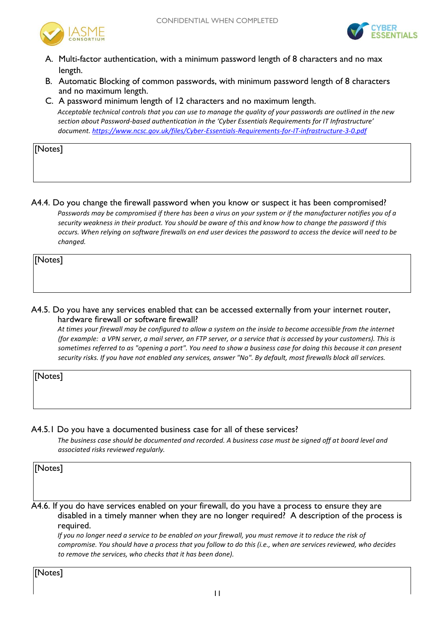



- A. Multi-factor authentication, with a minimum password length of 8 characters and no max length.
- B. Automatic Blocking of common passwords, with minimum password length of 8 characters and no maximum length.
- C. A password minimum length of 12 characters and no maximum length. *Acceptable technical controls that you can use to manage the quality of your passwords are outlined in the new section about Password-based authentication in the 'Cyber Essentials Requirements for IT Infrastructure' document. https://www.ncsc.gov.uk/files/Cyber-Essentials-Requirements-for-IT-infrastructure-3-0.pdf*

|  | <b>Notes</b> |  |
|--|--------------|--|
|  |              |  |

A4.4. Do you change the firewall password when you know or suspect it has been compromised? *Passwords may be compromised if there has been a virus on your system or if the manufacturer notifies you of a security weakness in their product. You should be aware of this and know how to change the password if this occurs. When relying on software firewalls on end user devices the password to access the device will need to be changed.* 

[Notes]

A4.5. Do you have any services enabled that can be accessed externally from your internet router, hardware firewall or software firewall?

*At times your firewall may be configured to allow a system on the inside to become accessible from the internet (for example: a VPN server, a mail server, an FTP server, or a service that is accessed by your customers). This is sometimes referred to as "opening a port". You need to show a business case for doing this because it can present security risks. If you have not enabled any services, answer "No". By default, most firewalls block all services.* 

[Notes]

### A4.5.1 Do you have a documented business case for all of these services?

*The business case should be documented and recorded. A business case must be signed off at board level and associated risks reviewed regularly.* 

### [Notes]

A4.6. If you do have services enabled on your firewall, do you have a process to ensure they are disabled in a timely manner when they are no longer required? A description of the process is required.

*If you no longer need a service to be enabled on your firewall, you must remove it to reduce the risk of compromise. You should have a process that you follow to do this (i.e., when are services reviewed, who decides to remove the services, who checks that it has been done).*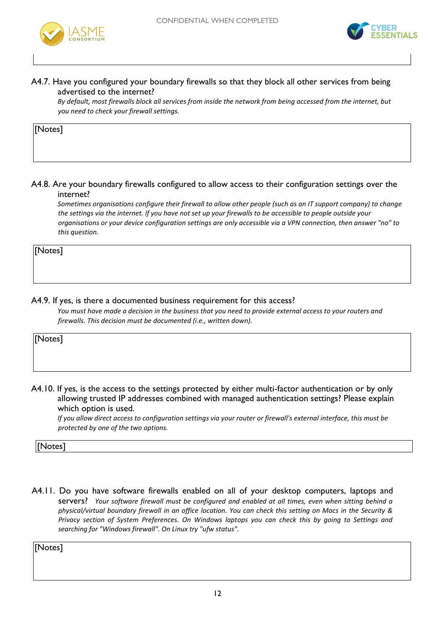



### A4.7. Have you configured your boundary firewalls so that they block all other services from being advertised to the internet?

*By default, most firewalls block all services from inside the network from being accessed from the internet, but you need to check your firewall settings.* 

[Notes]

### A4.8. Are your boundary firewalls configured to allow access to their configuration settings over the internet?

*Sometimes organisations configure their firewall to allow other people (such as an IT support company) to change the settings via the internet. If you have not set up your firewalls to be accessible to people outside your organisations or your device configuration settings are only accessible via a VPN connection, then answer "no" to this question.* 

[Notes]

### A4.9. If yes, is there a documented business requirement for this access?

*You must have made a decision in the business that you need to provide external access to your routers and firewalls. This decision must be documented (i.e., written down).* 

[Notes]

A4.10. If yes, is the access to the settings protected by either multi-factor authentication or by only allowing trusted IP addresses combined with managed authentication settings? Please explain which option is used.

*If you allow direct access to configuration settings via your router or firewall's external interface, this must be protected by one of the two options.* 

[Notes]

A4.11. Do you have software firewalls enabled on all of your desktop computers, laptops and servers? *Your software firewall must be configured and enabled at all times, even when sitting behind a physical/virtual boundary firewall in an office location. You can check this setting on Macs in the Security & Privacy section of System Preferences. On Windows laptops you can check this by going to Settings and searching for "Windows firewall". On Linux try "ufw status".*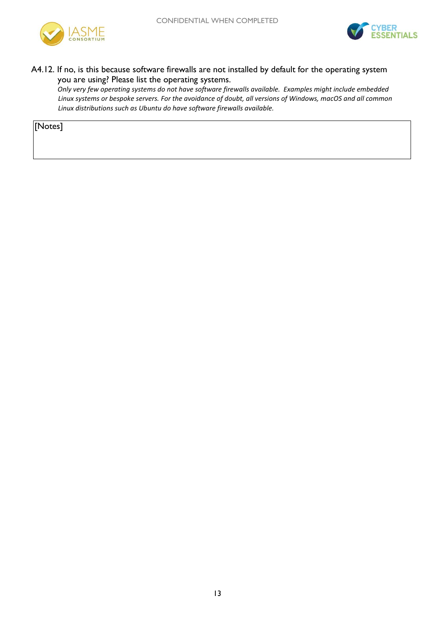



A4.12. If no, is this because software firewalls are not installed by default for the operating system you are using? Please list the operating systems.

*Only very few operating systems do not have software firewalls available. Examples might include embedded Linux systems or bespoke servers. For the avoidance of doubt, all versions of Windows, macOS and all common Linux distributions such as Ubuntu do have software firewalls available.*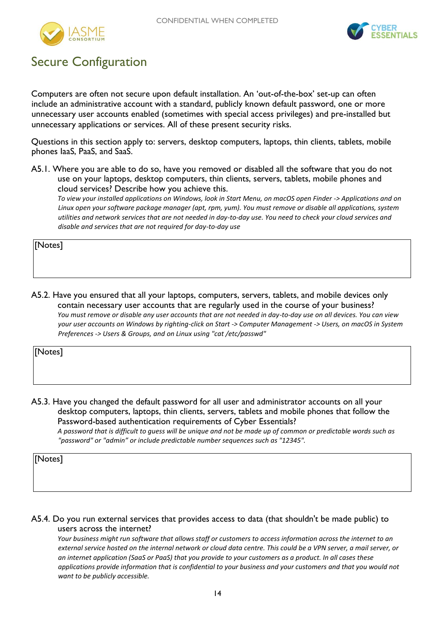



# Secure Configuration

Computers are often not secure upon default installation. An 'out-of-the-box' set-up can often include an administrative account with a standard, publicly known default password, one or more unnecessary user accounts enabled (sometimes with special access privileges) and pre-installed but unnecessary applications or services. All of these present security risks.

Questions in this section apply to: servers, desktop computers, laptops, thin clients, tablets, mobile phones IaaS, PaaS, and SaaS.

A5.1. Where you are able to do so, have you removed or disabled all the software that you do not use on your laptops, desktop computers, thin clients, servers, tablets, mobile phones and cloud services? Describe how you achieve this.

*To view your installed applications on Windows, look in Start Menu, on macOS open Finder -> Applications and on Linux open your software package manager (apt, rpm, yum). You must remove or disable all applications, system utilities and network services that are not needed in day-to-day use. You need to check your cloud services and disable and services that are not required for day-to-day use* 

[Notes]

A5.2. Have you ensured that all your laptops, computers, servers, tablets, and mobile devices only contain necessary user accounts that are regularly used in the course of your business? *You must remove or disable any user accounts that are not needed in day-to-day use on all devices. You can view your user accounts on Windows by righting-click on Start -> Computer Management -> Users, on macOS in System Preferences -> Users & Groups, and on Linux using "cat /etc/passwd"* 

[Notes]

A5.3. Have you changed the default password for all user and administrator accounts on all your desktop computers, laptops, thin clients, servers, tablets and mobile phones that follow the Password-based authentication requirements of Cyber Essentials? *A password that is difficult to guess will be unique and not be made up of common or predictable words such as "password" or "admin" or include predictable number sequences such as "12345".* 

[Notes]

A5.4. Do you run external services that provides access to data (that shouldn't be made public) to users across the internet?

*Your business might run software that allows staff or customers to access information across the internet to an external service hosted on the internal network or cloud data centre. This could be a VPN server, a mail server, or an internet application (SaaS or PaaS) that you provide to your customers as a product. In all cases these applications provide information that is confidential to your business and your customers and that you would not want to be publicly accessible.*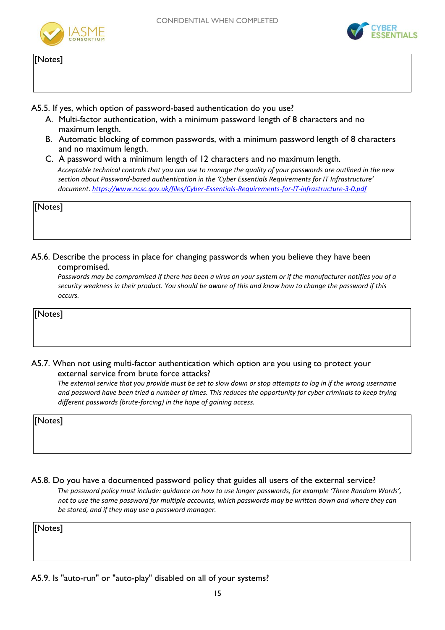



[Notes]

A5.5. If yes, which option of password-based authentication do you use?

- A. Multi-factor authentication, with a minimum password length of 8 characters and no maximum length.
- B. Automatic blocking of common passwords, with a minimum password length of 8 characters and no maximum length.
- C. A password with a minimum length of 12 characters and no maximum length. *Acceptable technical controls that you can use to manage the quality of your passwords are outlined in the new section about Password-based authentication in the 'Cyber Essentials Requirements for IT Infrastructure' document. https://www.ncsc.gov.uk/files/Cyber-Essentials-Requirements-for-IT-infrastructure-3-0.pdf*

[Notes]

A5.6. Describe the process in place for changing passwords when you believe they have been compromised.

*Passwords may be compromised if there has been a virus on your system or if the manufacturer notifies you of a security weakness in their product. You should be aware of this and know how to change the password if this occurs.* 

[Notes]

A5.7. When not using multi-factor authentication which option are you using to protect your external service from brute force attacks?

*The external service that you provide must be set to slow down or stop attempts to log in if the wrong username and password have been tried a number of times. This reduces the opportunity for cyber criminals to keep trying different passwords (brute-forcing) in the hope of gaining access.* 

[Notes]

A5.8. Do you have a documented password policy that guides all users of the external service? *The password policy must include: guidance on how to use longer passwords, for example 'Three Random Words', not to use the same password for multiple accounts, which passwords may be written down and where they can be stored, and if they may use a password manager.* 

[Notes]

A5.9. Is "auto-run" or "auto-play" disabled on all of your systems?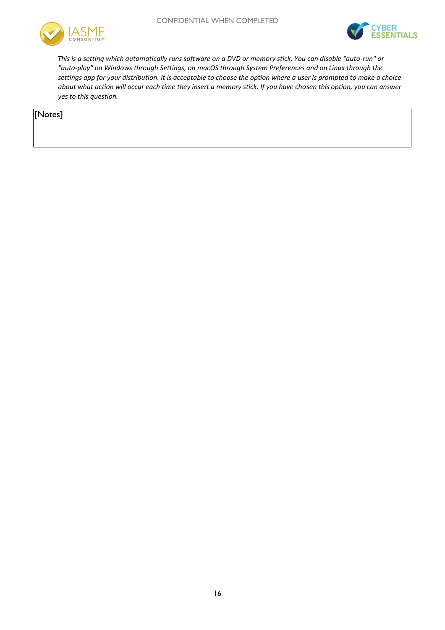



*This is a setting which automatically runs software on a DVD or memory stick. You can disable "auto-run" or "auto-play" on Windows through Settings, on macOS through System Preferences and on Linux through the settings app for your distribution. It is acceptable to choose the option where a user is prompted to make a choice about what action will occur each time they insert a memory stick. If you have chosen this option, you can answer yes to this question.*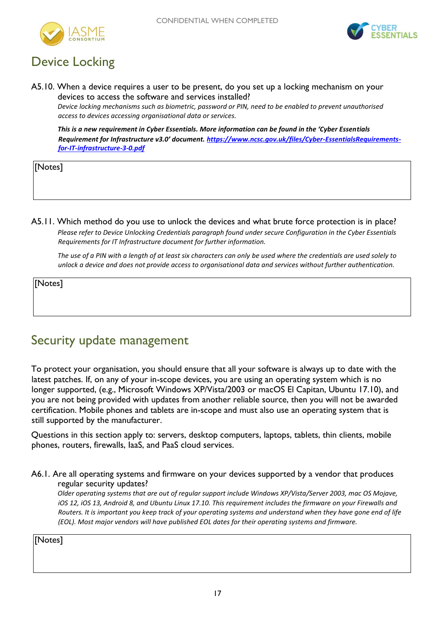



# Device Locking

A5.10. When a device requires a user to be present, do you set up a locking mechanism on your devices to access the software and services installed?

*Device locking mechanisms such as biometric, password or PIN, need to be enabled to prevent unauthorised access to devices accessing organisational data or services.* 

*This is a new requirement in Cyber Essentials. More information can be found in the 'Cyber Essentials Requirement for Infrastructure v3.0' document. https://www.ncsc.gov.uk/files/Cyber-EssentialsRequirementsfor-IT-infrastructure-3-0.pdf*

[Notes]

A5.11. Which method do you use to unlock the devices and what brute force protection is in place? *Please refer to Device Unlocking Credentials paragraph found under secure Configuration in the Cyber Essentials Requirements for IT Infrastructure document for further information.* 

*The use of a PIN with a length of at least six characters can only be used where the credentials are used solely to unlock a device and does not provide access to organisational data and services without further authentication.* 

[Notes]

### Security update management

To protect your organisation, you should ensure that all your software is always up to date with the latest patches. If, on any of your in-scope devices, you are using an operating system which is no longer supported, (e.g., Microsoft Windows XP/Vista/2003 or macOS El Capitan, Ubuntu 17.10), and you are not being provided with updates from another reliable source, then you will not be awarded certification. Mobile phones and tablets are in-scope and must also use an operating system that is still supported by the manufacturer.

Questions in this section apply to: servers, desktop computers, laptops, tablets, thin clients, mobile phones, routers, firewalls, IaaS, and PaaS cloud services.

A6.1. Are all operating systems and firmware on your devices supported by a vendor that produces regular security updates?

*Older operating systems that are out of regular support include Windows XP/Vista/Server 2003, mac OS Mojave, iOS 12, iOS 13, Android 8, and Ubuntu Linux 17.10. This requirement includes the firmware on your Firewalls and Routers. It is important you keep track of your operating systems and understand when they have gone end of life (EOL). Most major vendors will have published EOL dates for their operating systems and firmware.*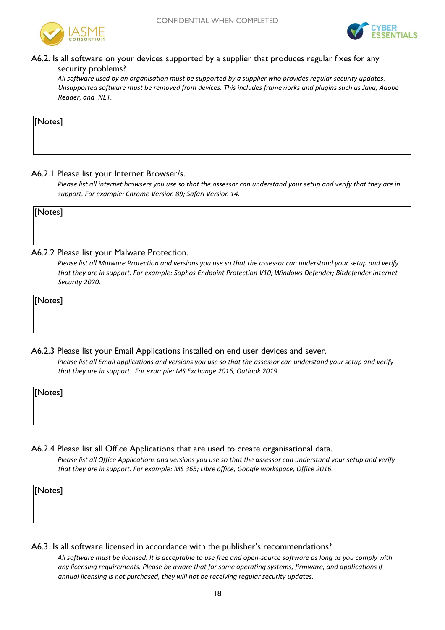



A6.2. Is all software on your devices supported by a supplier that produces regular fixes for any security problems?

*All software used by an organisation must be supported by a supplier who provides regular security updates. Unsupported software must be removed from devices. This includes frameworks and plugins such as Java, Adobe Reader, and .NET.* 

[Notes]

#### A6.2.1 Please list your Internet Browser/s.

*Please list all internet browsers you use so that the assessor can understand your setup and verify that they are in support. For example: Chrome Version 89; Safari Version 14.* 

[Notes]

### A6.2.2 Please list your Malware Protection.

*Please list all Malware Protection and versions you use so that the assessor can understand your setup and verify that they are in support. For example: Sophos Endpoint Protection V10; Windows Defender; Bitdefender Internet Security 2020.* 

[Notes]

### A6.2.3 Please list your Email Applications installed on end user devices and sever.

*Please list all Email applications and versions you use so that the assessor can understand your setup and verify that they are in support. For example: MS Exchange 2016, Outlook 2019.* 

[Notes]

#### A6.2.4 Please list all Office Applications that are used to create organisational data.

*Please list all Office Applications and versions you use so that the assessor can understand your setup and verify that they are in support. For example: MS 365; Libre office, Google workspace, Office 2016.* 

[Notes]

### A6.3. Is all software licensed in accordance with the publisher's recommendations?

*All software must be licensed. It is acceptable to use free and open-source software as long as you comply with any licensing requirements. Please be aware that for some operating systems, firmware, and applications if annual licensing is not purchased, they will not be receiving regular security updates.*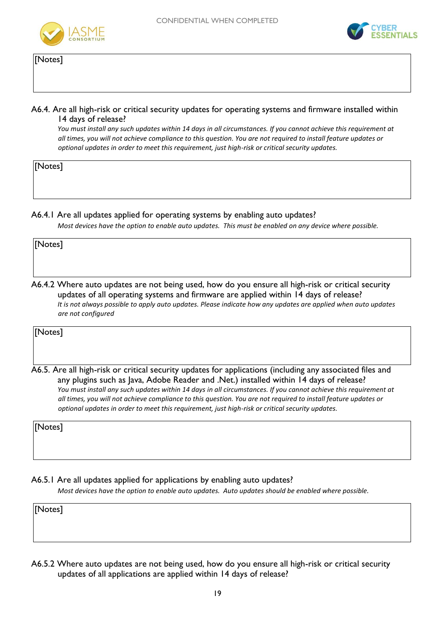



### A6.4. Are all high-risk or critical security updates for operating systems and firmware installed within 14 days of release?

*You must install any such updates within 14 days in all circumstances. If you cannot achieve this requirement at all times, you will not achieve compliance to this question. You are not required to install feature updates or optional updates in order to meet this requirement, just high-risk or critical security updates.* 

[Notes]

[Notes]

A6.4.1 Are all updates applied for operating systems by enabling auto updates?

*Most devices have the option to enable auto updates. This must be enabled on any device where possible.* 

[Notes]

A6.4.2 Where auto updates are not being used, how do you ensure all high-risk or critical security updates of all operating systems and firmware are applied within 14 days of release? *It is not always possible to apply auto updates. Please indicate how any updates are applied when auto updates are not configured* 

[Notes]

A6.5. Are all high-risk or critical security updates for applications (including any associated files and any plugins such as Java, Adobe Reader and .Net.) installed within 14 days of release? *You must install any such updates within 14 days in all circumstances. If you cannot achieve this requirement at all times, you will not achieve compliance to this question. You are not required to install feature updates or optional updates in order to meet this requirement, just high-risk or critical security updates.* 

[Notes]

### A6.5.1 Are all updates applied for applications by enabling auto updates?

*Most devices have the option to enable auto updates. Auto updates should be enabled where possible.* 

[Notes]

A6.5.2 Where auto updates are not being used, how do you ensure all high-risk or critical security updates of all applications are applied within 14 days of release?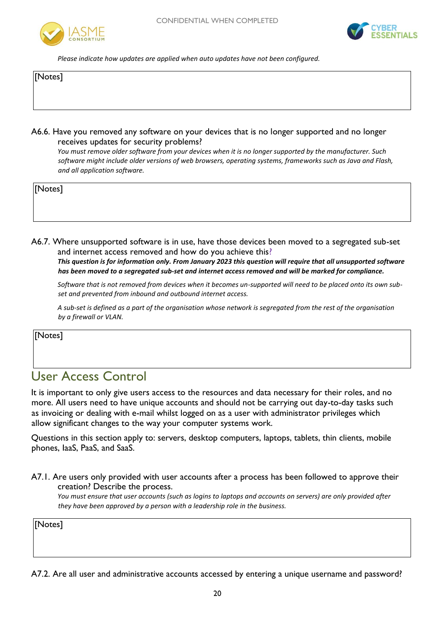



*Please indicate how updates are applied when auto updates have not been configured.* 

[Notes]

A6.6. Have you removed any software on your devices that is no longer supported and no longer receives updates for security problems?

*You must remove older software from your devices when it is no longer supported by the manufacturer. Such software might include older versions of web browsers, operating systems, frameworks such as Java and Flash, and all application software.* 

#### [Notes]

A6.7. Where unsupported software is in use, have those devices been moved to a segregated sub-set and internet access removed and how do you achieve this? *This question is for information only. From January 2023 this question will require that all unsupported software has been moved to a segregated sub-set and internet access removed and will be marked for compliance.* 

*Software that is not removed from devices when it becomes un-supported will need to be placed onto its own subset and prevented from inbound and outbound internet access.* 

*A sub-set is defined as a part of the organisation whose network is segregated from the rest of the organisation by a firewall or VLAN.* 

[Notes]

# User Access Control

It is important to only give users access to the resources and data necessary for their roles, and no more. All users need to have unique accounts and should not be carrying out day-to-day tasks such as invoicing or dealing with e-mail whilst logged on as a user with administrator privileges which allow significant changes to the way your computer systems work.

Questions in this section apply to: servers, desktop computers, laptops, tablets, thin clients, mobile phones, IaaS, PaaS, and SaaS.

A7.1. Are users only provided with user accounts after a process has been followed to approve their creation? Describe the process.

*You must ensure that user accounts (such as logins to laptops and accounts on servers) are only provided after they have been approved by a person with a leadership role in the business.* 

[Notes]

A7.2. Are all user and administrative accounts accessed by entering a unique username and password?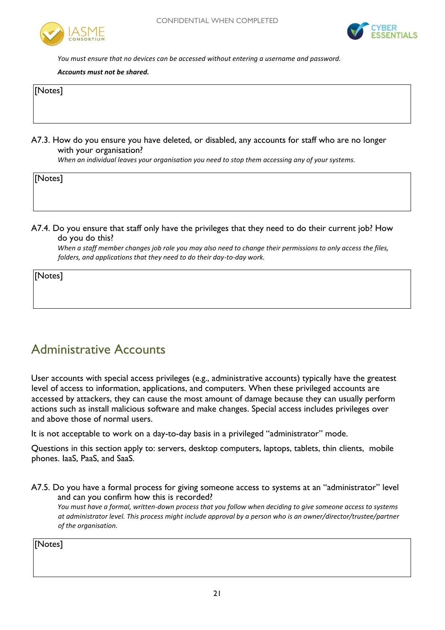



*You must ensure that no devices can be accessed without entering a username and password.* 

#### *Accounts must not be shared.*

| [Notes] |  |  |
|---------|--|--|
|         |  |  |

A7.3. How do you ensure you have deleted, or disabled, any accounts for staff who are no longer with your organisation?

*When an individual leaves your organisation you need to stop them accessing any of your systems.* 

| $\vert$ [Notes] |  |  |  |
|-----------------|--|--|--|
|                 |  |  |  |

A7.4. Do you ensure that staff only have the privileges that they need to do their current job? How do you do this?

*When a staff member changes job role you may also need to change their permissions to only access the files, folders, and applications that they need to do their day-to-day work.* 

[Notes]

### Administrative Accounts

User accounts with special access privileges (e.g., administrative accounts) typically have the greatest level of access to information, applications, and computers. When these privileged accounts are accessed by attackers, they can cause the most amount of damage because they can usually perform actions such as install malicious software and make changes. Special access includes privileges over and above those of normal users.

It is not acceptable to work on a day-to-day basis in a privileged "administrator" mode.

Questions in this section apply to: servers, desktop computers, laptops, tablets, thin clients, mobile phones. IaaS, PaaS, and SaaS.

A7.5. Do you have a formal process for giving someone access to systems at an "administrator" level and can you confirm how this is recorded?

*You must have a formal, written-down process that you follow when deciding to give someone access to systems at administrator level. This process might include approval by a person who is an owner/director/trustee/partner of the organisation.*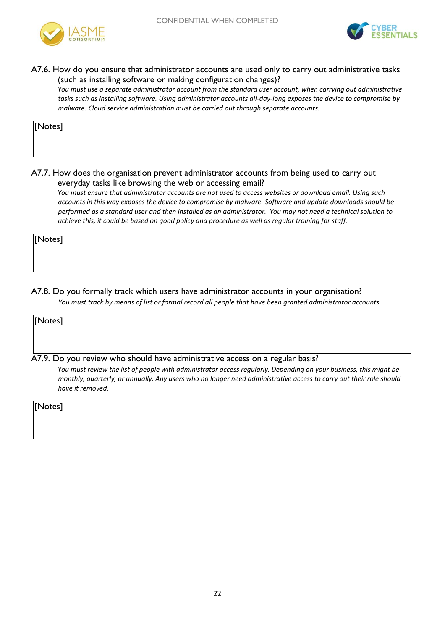



A7.6. How do you ensure that administrator accounts are used only to carry out administrative tasks (such as installing software or making configuration changes)?

*You must use a separate administrator account from the standard user account, when carrying out administrative tasks such as installing software. Using administrator accounts all-day-long exposes the device to compromise by malware. Cloud service administration must be carried out through separate accounts.* 

[Notes]

A7.7. How does the organisation prevent administrator accounts from being used to carry out everyday tasks like browsing the web or accessing email?

*You must ensure that administrator accounts are not used to access websites or download email. Using such accounts in this way exposes the device to compromise by malware. Software and update downloads should be performed as a standard user and then installed as an administrator. You may not need a technical solution to achieve this, it could be based on good policy and procedure as well as regular training for staff.* 

[Notes]

A7.8. Do you formally track which users have administrator accounts in your organisation?

*You must track by means of list or formal record all people that have been granted administrator accounts.* 

| [Notes] |  |  |  |
|---------|--|--|--|
|         |  |  |  |
|         |  |  |  |

A7.9. Do you review who should have administrative access on a regular basis?

*You must review the list of people with administrator access regularly. Depending on your business, this might be monthly, quarterly, or annually. Any users who no longer need administrative access to carry out their role should have it removed.*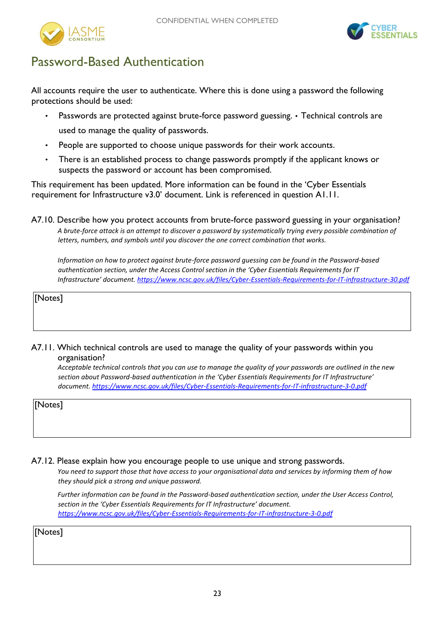



# Password-Based Authentication

All accounts require the user to authenticate. Where this is done using a password the following protections should be used:

- Passwords are protected against brute-force password guessing. Technical controls are used to manage the quality of passwords.
- People are supported to choose unique passwords for their work accounts.
- There is an established process to change passwords promptly if the applicant knows or suspects the password or account has been compromised.

This requirement has been updated. More information can be found in the 'Cyber Essentials requirement for Infrastructure v3.0' document. Link is referenced in question A1.11.

A7.10. Describe how you protect accounts from brute-force password guessing in your organisation? *A brute-force attack is an attempt to discover a password by systematically trying every possible combination of letters, numbers, and symbols until you discover the one correct combination that works.* 

*Information on how to protect against brute-force password guessing can be found in the Password-based authentication section, under the Access Control section in the 'Cyber Essentials Requirements for IT Infrastructure' document. https://www.ncsc.gov.uk/files/Cyber-Essentials-Requirements-for-IT-infrastructure-30.pdf*

[Notes]

A7.11. Which technical controls are used to manage the quality of your passwords within you organisation?

*Acceptable technical controls that you can use to manage the quality of your passwords are outlined in the new section about Password-based authentication in the 'Cyber Essentials Requirements for IT Infrastructure' document. https://www.ncsc.gov.uk/files/Cyber-Essentials-Requirements-for-IT-infrastructure-3-0.pdf*

[Notes]

A7.12. Please explain how you encourage people to use unique and strong passwords.

*You need to support those that have access to your organisational data and services by informing them of how they should pick a strong and unique password.* 

*Further information can be found in the Password-based authentication section, under the User Access Control, section in the 'Cyber Essentials Requirements for IT Infrastructure' document. https://www.ncsc.gov.uk/files/Cyber-Essentials-Requirements-for-IT-infrastructure-3-0.pdf*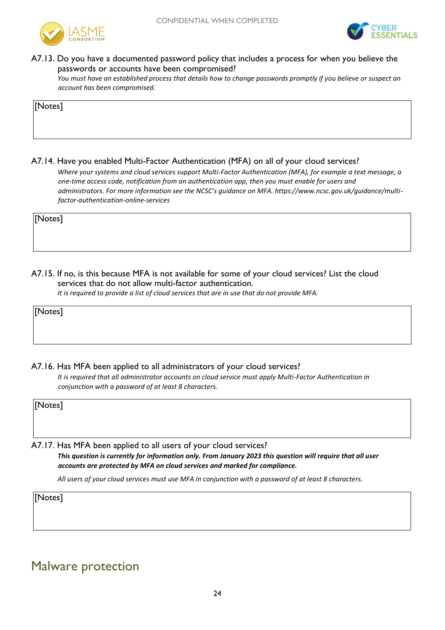



A7.13. Do you have a documented password policy that includes a process for when you believe the passwords or accounts have been compromised?

*You must have an established process that details how to change passwords promptly if you believe or suspect an account has been compromised.* 

[Notes]

A7.14. Have you enabled Multi-Factor Authentication (MFA) on all of your cloud services?

*Where your systems and cloud services support Multi-Factor Authentication (MFA), for example a text message, a one-time access code, notification from an authentication app, then you must enable for users and administrators. For more information see the NCSC's guidance on MFA. https://www.ncsc.gov.uk/guidance/multifactor-authentication-online-services* 

[Notes]

A7.15. If no, is this because MFA is not available for some of your cloud services? List the cloud services that do not allow multi-factor authentication.

*It is required to provide a list of cloud services that are in use that do not provide MFA.* 

| [Notes] |  |  |  |
|---------|--|--|--|
|         |  |  |  |

A7.16. Has MFA been applied to all administrators of your cloud services?

*It is required that all administrator accounts on cloud service must apply Multi-Factor Authentication in conjunction with a password of at least 8 characters.* 

[Notes]

A7.17. Has MFA been applied to all users of your cloud services? *This question is currently for information only. From January 2023 this question will require that all user accounts are protected by MFA on cloud services and marked for compliance.* 

*All users of your cloud services must use MFA in conjunction with a password of at least 8 characters.* 

[Notes]

# Malware protection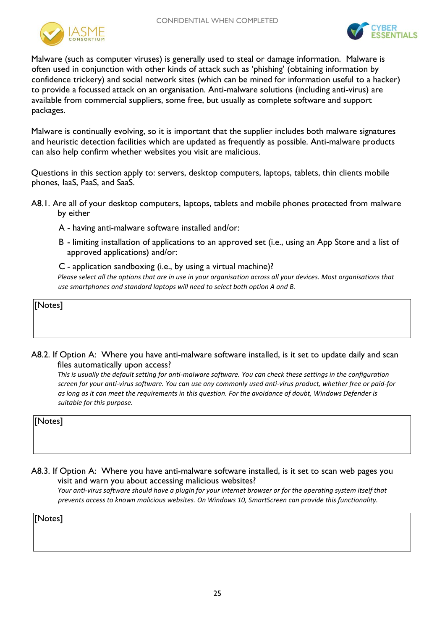



Malware (such as computer viruses) is generally used to steal or damage information. Malware is often used in conjunction with other kinds of attack such as 'phishing' (obtaining information by confidence trickery) and social network sites (which can be mined for information useful to a hacker) to provide a focussed attack on an organisation. Anti-malware solutions (including anti-virus) are available from commercial suppliers, some free, but usually as complete software and support packages.

Malware is continually evolving, so it is important that the supplier includes both malware signatures and heuristic detection facilities which are updated as frequently as possible. Anti-malware products can also help confirm whether websites you visit are malicious.

Questions in this section apply to: servers, desktop computers, laptops, tablets, thin clients mobile phones, IaaS, PaaS, and SaaS.

- A8.1. Are all of your desktop computers, laptops, tablets and mobile phones protected from malware by either
	- A having anti-malware software installed and/or:
	- B limiting installation of applications to an approved set (i.e., using an App Store and a list of approved applications) and/or:
	- C application sandboxing (i.e., by using a virtual machine)?

*Please select all the options that are in use in your organisation across all your devices. Most organisations that use smartphones and standard laptops will need to select both option A and B.* 

[Notes]

A8.2. If Option A: Where you have anti-malware software installed, is it set to update daily and scan files automatically upon access?

*This is usually the default setting for anti-malware software. You can check these settings in the configuration screen for your anti-virus software. You can use any commonly used anti-virus product, whether free or paid-for as long as it can meet the requirements in this question. For the avoidance of doubt, Windows Defender is suitable for this purpose.* 

[Notes]

A8.3. If Option A: Where you have anti-malware software installed, is it set to scan web pages you visit and warn you about accessing malicious websites?

*Your anti-virus software should have a plugin for your internet browser or for the operating system itself that prevents access to known malicious websites. On Windows 10, SmartScreen can provide this functionality.*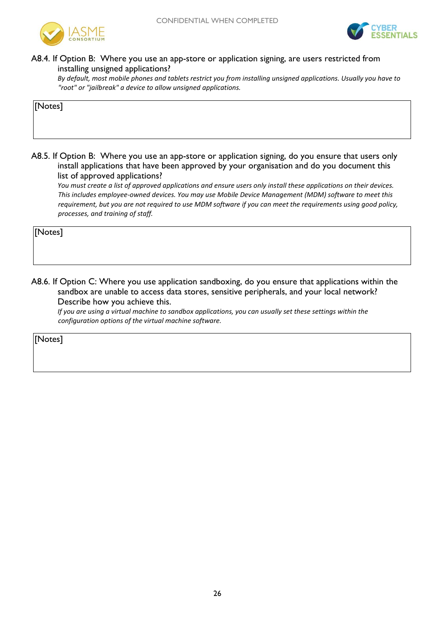



### A8.4. If Option B: Where you use an app-store or application signing, are users restricted from installing unsigned applications?

*By default, most mobile phones and tablets restrict you from installing unsigned applications. Usually you have to "root" or "jailbreak" a device to allow unsigned applications.* 

### [Notes]

A8.5. If Option B: Where you use an app-store or application signing, do you ensure that users only install applications that have been approved by your organisation and do you document this list of approved applications?

*You must create a list of approved applications and ensure users only install these applications on their devices. This includes employee-owned devices. You may use Mobile Device Management (MDM) software to meet this requirement, but you are not required to use MDM software if you can meet the requirements using good policy, processes, and training of staff.* 

[Notes]

A8.6. If Option C: Where you use application sandboxing, do you ensure that applications within the sandbox are unable to access data stores, sensitive peripherals, and your local network? Describe how you achieve this.

*If you are using a virtual machine to sandbox applications, you can usually set these settings within the configuration options of the virtual machine software.*